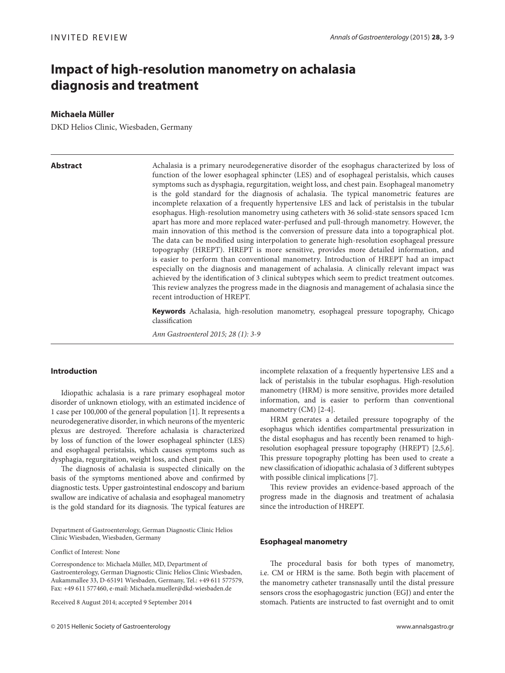# **Impact of high-resolution manometry on achalasia diagnosis and treatment**

# **Michaela Müller**

DKD Helios Clinic, Wiesbaden, Germany

**Abstract** Achalasia is a primary neurodegenerative disorder of the esophagus characterized by loss of function of the lower esophageal sphincter (LES) and of esophageal peristalsis, which causes symptoms such as dysphagia, regurgitation, weight loss, and chest pain. Esophageal manometry is the gold standard for the diagnosis of achalasia. The typical manometric features are incomplete relaxation of a frequently hypertensive LES and lack of peristalsis in the tubular esophagus. High-resolution manometry using catheters with 36 solid-state sensors spaced 1cm apart has more and more replaced water-perfused and pull-through manometry. However, the main innovation of this method is the conversion of pressure data into a topographical plot. The data can be modified using interpolation to generate high-resolution esophageal pressure topography (HREPT). HREPT is more sensitive, provides more detailed information, and is easier to perform than conventional manometry. Introduction of HREPT had an impact especially on the diagnosis and management of achalasia. A clinically relevant impact was achieved by the identification of 3 clinical subtypes which seem to predict treatment outcomes. This review analyzes the progress made in the diagnosis and management of achalasia since the recent introduction of HREPT.

> **Keywords** Achalasia, high-resolution manometry, esophageal pressure topography, Chicago classification

*Ann Gastroenterol 2015; 28 (1): 3-9*

# **Introduction**

Idiopathic achalasia is a rare primary esophageal motor disorder of unknown etiology, with an estimated incidence of 1 case per 100,000 of the general population [1]. It represents a neurodegenerative disorder, in which neurons of the myenteric plexus are destroyed. Therefore achalasia is characterized by loss of function of the lower esophageal sphincter (LES) and esophageal peristalsis, which causes symptoms such as dysphagia, regurgitation, weight loss, and chest pain.

The diagnosis of achalasia is suspected clinically on the basis of the symptoms mentioned above and confirmed by diagnostic tests. Upper gastrointestinal endoscopy and barium swallow are indicative of achalasia and esophageal manometry is the gold standard for its diagnosis. The typical features are

Department of Gastroenterology, German Diagnostic Clinic Helios Clinic Wiesbaden, Wiesbaden, Germany

Conflict of Interest: None

Correspondence to: Michaela Müller, MD, Department of Gastroenterology, German Diagnostic Clinic Helios Clinic Wiesbaden, Aukammallee 33, D-65191 Wiesbaden, Germany, Tel.: +49 611 577579, Fax: +49 611 577460, e-mail: Michaela.mueller@dkd-wiesbaden.de

Received 8 August 2014; accepted 9 September 2014

incomplete relaxation of a frequently hypertensive LES and a lack of peristalsis in the tubular esophagus. High-resolution manometry (HRM) is more sensitive, provides more detailed information, and is easier to perform than conventional manometry (CM) [2-4].

HRM generates a detailed pressure topography of the esophagus which identifies compartmental pressurization in the distal esophagus and has recently been renamed to highresolution esophageal pressure topography (HREPT) [2,5,6]. This pressure topography plotting has been used to create a new classification of idiopathic achalasia of 3 different subtypes with possible clinical implications [7].

This review provides an evidence-based approach of the progress made in the diagnosis and treatment of achalasia since the introduction of HREPT.

#### **Esophageal manometry**

The procedural basis for both types of manometry, i.e. CM or HRM is the same. Both begin with placement of the manometry catheter transnasally until the distal pressure sensors cross the esophagogastric junction (EGJ) and enter the stomach. Patients are instructed to fast overnight and to omit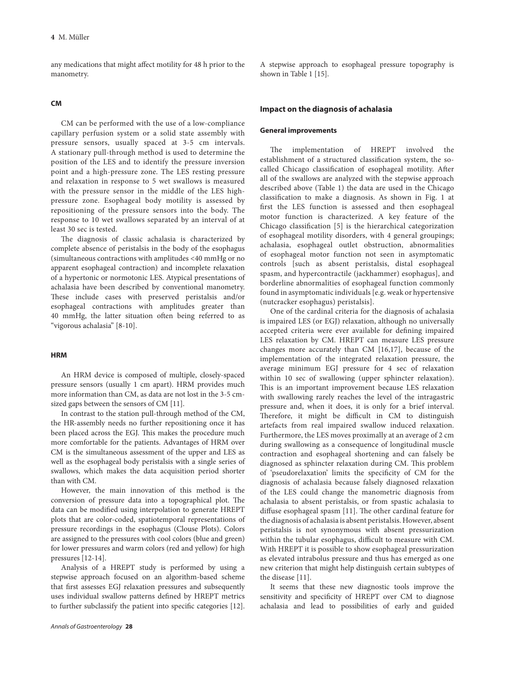any medications that might affect motility for 48 h prior to the manometry.

# **CM**

CM can be performed with the use of a low-compliance capillary perfusion system or a solid state assembly with pressure sensors, usually spaced at 3-5 cm intervals. A stationary pull-through method is used to determine the position of the LES and to identify the pressure inversion point and a high-pressure zone. The LES resting pressure and relaxation in response to 5 wet swallows is measured with the pressure sensor in the middle of the LES highpressure zone. Esophageal body motility is assessed by repositioning of the pressure sensors into the body. The response to 10 wet swallows separated by an interval of at least 30 sec is tested.

The diagnosis of classic achalasia is characterized by complete absence of peristalsis in the body of the esophagus (simultaneous contractions with amplitudes <40 mmHg or no apparent esophageal contraction) and incomplete relaxation of a hypertonic or normotonic LES. Atypical presentations of achalasia have been described by conventional manometry. These include cases with preserved peristalsis and/or esophageal contractions with amplitudes greater than 40 mmHg, the latter situation often being referred to as "vigorous achalasia" [8-10].

# **HRM**

An HRM device is composed of multiple, closely-spaced pressure sensors (usually 1 cm apart). HRM provides much more information than CM, as data are not lost in the 3-5 cmsized gaps between the sensors of CM [11].

In contrast to the station pull-through method of the CM, the HR-assembly needs no further repositioning once it has been placed across the EGJ. This makes the procedure much more comfortable for the patients. Advantages of HRM over CM is the simultaneous assessment of the upper and LES as well as the esophageal body peristalsis with a single series of swallows, which makes the data acquisition period shorter than with CM.

However, the main innovation of this method is the conversion of pressure data into a topographical plot. The data can be modified using interpolation to generate HREPT plots that are color-coded, spatiotemporal representations of pressure recordings in the esophagus (Clouse Plots). Colors are assigned to the pressures with cool colors (blue and green) for lower pressures and warm colors (red and yellow) for high pressures [12-14].

Analysis of a HREPT study is performed by using a stepwise approach focused on an algorithm-based scheme that first assesses EGJ relaxation pressures and subsequently uses individual swallow patterns defined by HREPT metrics to further subclassify the patient into specific categories [12]. A stepwise approach to esophageal pressure topography is shown in Table 1 [15].

#### **Impact on the diagnosis of achalasia**

#### **General improvements**

The implementation of HREPT involved the establishment of a structured classification system, the socalled Chicago classification of esophageal motility. After all of the swallows are analyzed with the stepwise approach described above (Table 1) the data are used in the Chicago classification to make a diagnosis. As shown in Fig. 1 at first the LES function is assessed and then esophageal motor function is characterized. A key feature of the Chicago classification [5] is the hierarchical categorization of esophageal motility disorders, with 4 general groupings; achalasia, esophageal outlet obstruction, abnormalities of esophageal motor function not seen in asymptomatic controls [such as absent peristalsis, distal esophageal spasm, and hypercontractile (jackhammer) esophagus], and borderline abnormalities of esophageal function commonly found in asymptomatic individuals [e.g. weak or hypertensive (nutcracker esophagus) peristalsis].

One of the cardinal criteria for the diagnosis of achalasia is impaired LES (or EGJ) relaxation, although no universally accepted criteria were ever available for defining impaired LES relaxation by CM. HREPT can measure LES pressure changes more accurately than CM [16,17], because of the implementation of the integrated relaxation pressure, the average minimum EGJ pressure for 4 sec of relaxation within 10 sec of swallowing (upper sphincter relaxation). This is an important improvement because LES relaxation with swallowing rarely reaches the level of the intragastric pressure and, when it does, it is only for a brief interval. Therefore, it might be difficult in CM to distinguish artefacts from real impaired swallow induced relaxation. Furthermore, the LES moves proximally at an average of 2 cm during swallowing as a consequence of longitudinal muscle contraction and esophageal shortening and can falsely be diagnosed as sphincter relaxation during CM. This problem of 'pseudorelaxation' limits the specificity of CM for the diagnosis of achalasia because falsely diagnosed relaxation of the LES could change the manometric diagnosis from achalasia to absent peristalsis, or from spastic achalasia to diffuse esophageal spasm [11]. The other cardinal feature for the diagnosis of achalasia is absent peristalsis. However, absent peristalsis is not synonymous with absent pressurization within the tubular esophagus, difficult to measure with CM. With HREPT it is possible to show esophageal pressurization as elevated intrabolus pressure and thus has emerged as one new criterion that might help distinguish certain subtypes of the disease [11].

It seems that these new diagnostic tools improve the sensitivity and specificity of HREPT over CM to diagnose achalasia and lead to possibilities of early and guided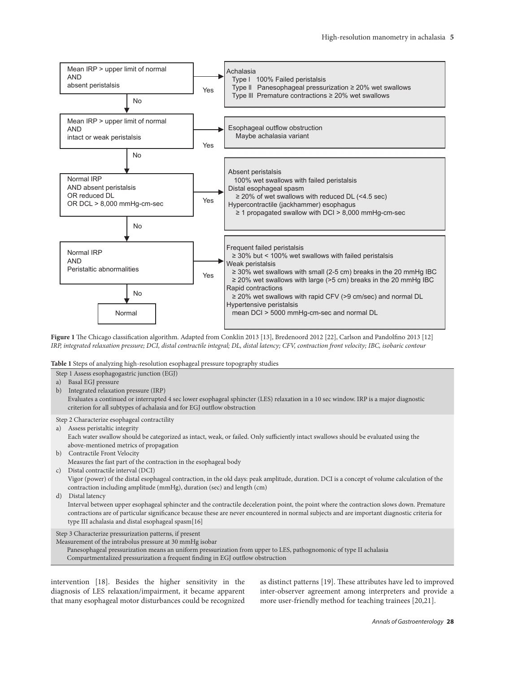

**Figure 1** The Chicago classification algorithm. Adapted from Conklin 2013 [13], Bredenoord 2012 [22], Carlson and Pandolfino 2013 [12] *IRP, integrated relaxation pressure; DCI, distal contractile integral; DL, distal latency; CFV, contraction front velocity; IBC, isobaric contour*

**Table 1** Steps of analyzing high-resolution esophageal pressure topography studies

- Step 1 Assess esophagogastric junction (EGJ)
- a) Basal EGJ pressure
- b) Integrated relaxation pressure (IRP) Evaluates a continued or interrupted 4 sec lower esophageal sphincter (LES) relaxation in a 10 sec window. IRP is a major diagnostic criterion for all subtypes of achalasia and for EGJ outflow obstruction
- Step 2 Characterize esophageal contractility
- a) Assess peristaltic integrity

 Each water swallow should be categorized as intact, weak, or failed. Only sufficiently intact swallows should be evaluated using the above-mentioned metrics of propagation

- b) Contractile Front Velocity
- Measures the fast part of the contraction in the esophageal body
- c) Distal contractile interval (DCI)

 Vigor (power) of the distal esophageal contraction, in the old days: peak amplitude, duration. DCI is a concept of volume calculation of the contraction including amplitude (mmHg), duration (sec) and length (cm)

d) Distal latency

 Interval between upper esophageal sphincter and the contractile deceleration point, the point where the contraction slows down. Premature contractions are of particular significance because these are never encountered in normal subjects and are important diagnostic criteria for type III achalasia and distal esophageal spasm[16]

Step 3 Characterize pressurization patterns, if present

Measurement of the intrabolus pressure at 30 mmHg isobar

Panesophageal pressurization means an uniform pressurization from upper to LES, pathognomonic of type II achalasia Compartmentalized pressurization a frequent finding in EGJ outflow obstruction

intervention [18]. Besides the higher sensitivity in the diagnosis of LES relaxation/impairment, it became apparent that many esophageal motor disturbances could be recognized

as distinct patterns [19]. These attributes have led to improved inter-observer agreement among interpreters and provide a more user-friendly method for teaching trainees [20,21].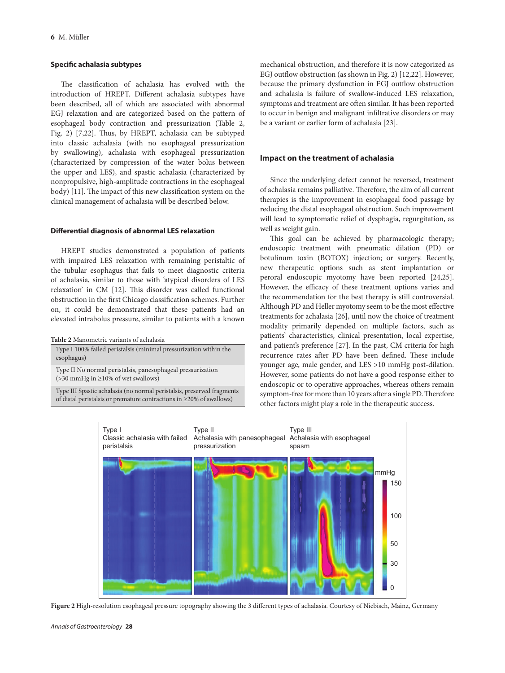### **Specific achalasia subtypes**

The classification of achalasia has evolved with the introduction of HREPT. Different achalasia subtypes have been described, all of which are associated with abnormal EGJ relaxation and are categorized based on the pattern of esophageal body contraction and pressurization (Table 2, Fig. 2) [7,22]. Thus, by HREPT, achalasia can be subtyped into classic achalasia (with no esophageal pressurization by swallowing), achalasia with esophageal pressurization (characterized by compression of the water bolus between the upper and LES), and spastic achalasia (characterized by nonpropulsive, high-amplitude contractions in the esophageal body) [11]. The impact of this new classification system on the clinical management of achalasia will be described below.

# **Differential diagnosis of abnormal LES relaxation**

HREPT studies demonstrated a population of patients with impaired LES relaxation with remaining peristaltic of the tubular esophagus that fails to meet diagnostic criteria of achalasia, similar to those with 'atypical disorders of LES relaxation' in CM [12]. This disorder was called functional obstruction in the first Chicago classification schemes. Further on, it could be demonstrated that these patients had an elevated intrabolus pressure, similar to patients with a known

**Table 2** Manometric variants of achalasia

Type I 100% failed peristalsis (minimal pressurization within the esophagus)

Type II No normal peristalsis, panesophageal pressurization (>30 mmHg in ≥10% of wet swallows)

Type III Spastic achalasia (no normal peristalsis, preserved fragments of distal peristalsis or premature contractions in ≥20% of swallows)

mechanical obstruction, and therefore it is now categorized as EGJ outflow obstruction (as shown in Fig. 2) [12,22]. However, because the primary dysfunction in EGJ outflow obstruction and achalasia is failure of swallow-induced LES relaxation, symptoms and treatment are often similar. It has been reported to occur in benign and malignant infiltrative disorders or may be a variant or earlier form of achalasia [23].

# **Impact on the treatment of achalasia**

Since the underlying defect cannot be reversed, treatment of achalasia remains palliative. Therefore, the aim of all current therapies is the improvement in esophageal food passage by reducing the distal esophageal obstruction. Such improvement will lead to symptomatic relief of dysphagia, regurgitation, as well as weight gain.

This goal can be achieved by pharmacologic therapy; endoscopic treatment with pneumatic dilation (PD) or botulinum toxin (BOTOX) injection; or surgery. Recently, new therapeutic options such as stent implantation or peroral endoscopic myotomy have been reported [24,25]. However, the efficacy of these treatment options varies and the recommendation for the best therapy is still controversial. Although PD and Heller myotomy seem to be the most effective treatments for achalasia [26], until now the choice of treatment modality primarily depended on multiple factors, such as patients' characteristics, clinical presentation, local expertise, and patient's preference [27]. In the past, CM criteria for high recurrence rates after PD have been defined. These include younger age, male gender, and LES >10 mmHg post-dilation. However, some patients do not have a good response either to endoscopic or to operative approaches, whereas others remain symptom-free for more than 10 years after a single PD. Therefore other factors might play a role in the therapeutic success.



**Figure 2** High-resolution esophageal pressure topography showing the 3 different types of achalasia. Courtesy of Niebisch, Mainz, Germany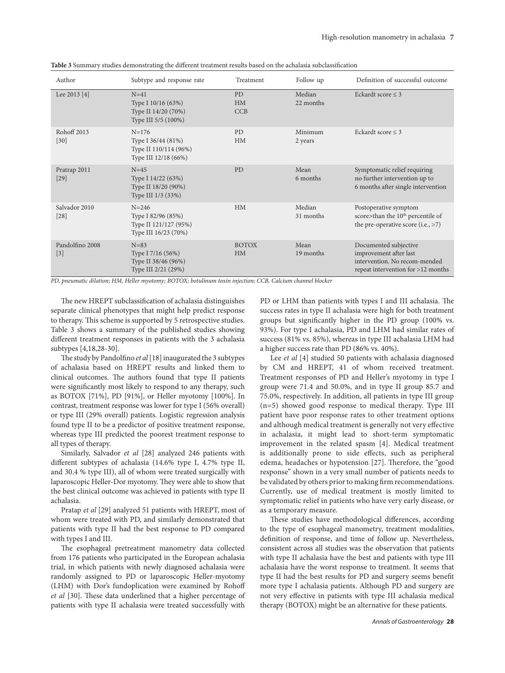| Author                   | Subtype and response rate                                                        | Treatment                 | Follow up           | Definition of successful outcome                                                                                       |
|--------------------------|----------------------------------------------------------------------------------|---------------------------|---------------------|------------------------------------------------------------------------------------------------------------------------|
| Lee 2013 [4]             | $N=41$<br>Type I 10/16 (63%)<br>Type II 14/20 (70%)<br>Type III 5/5 (100%)       | <b>PD</b><br>HM<br>CCB    | Median<br>22 months | Eckardt score $\leq$ 3                                                                                                 |
| Rohoff 2013<br>$[30]$    | $N = 176$<br>Type I 36/44 (81%)<br>Type II 110/114 (96%)<br>Type III 12/18 (66%) | <b>PD</b><br><b>HM</b>    | Minimum<br>2 years  | Eckardt score $\leq$ 3                                                                                                 |
| Pratrap 2011<br>$[29]$   | $N=45$<br>Type I 14/22 (63%)<br>Type II 18/20 (90%)<br>Type III 1/3 (33%)        | PD                        | Mean<br>6 months    | Symptomatic relief requiring<br>no further intervention up to<br>6 months after single intervention                    |
| Salvador 2010<br>$[28]$  | $N = 246$<br>Type I 82/96 (85%)<br>Type II 121/127 (95%)<br>Type III 16/23 (70%) | HM                        | Median<br>31 months | Postoperative symptom<br>score>than the 10 <sup>th</sup> percentile of<br>the pre-operative score $(i.e., >7)$         |
| Pandolfino 2008<br>$[3]$ | $N = 83$<br>Type I 7/16 (56%)<br>Type II 38/46 (96%)<br>Type III 2/21 (29%)      | <b>BOTOX</b><br><b>HM</b> | Mean<br>19 months   | Documented subjective<br>improvement after last<br>intervention. No recom-mended<br>repeat intervention for >12 months |

**Table 3** Summary studies demonstrating the different treatment results based on the achalasia subclassification

*PD, pneumatic dilation; HM, Heller myotomy; BOTOX; botulinum toxin injection; CCB, Calcium channel blocker*

The new HREPT subclassification of achalasia distinguishes separate clinical phenotypes that might help predict response to therapy. This scheme is supported by 5 retrospective studies. Table 3 shows a summary of the published studies showing different treatment responses in patients with the 3 achalasia subtypes [4,18,28-30].

The study by Pandolfino *et al* [18] inaugurated the 3 subtypes of achalasia based on HREPT results and linked them to clinical outcomes. The authors found that type II patients were significantly most likely to respond to any therapy, such as BOTOX [71%], PD [91%], or Heller myotomy [100%]. In contrast, treatment response was lower for type I (56% overall) or type III (29% overall) patients. Logistic regression analysis found type II to be a predictor of positive treatment response, whereas type III predicted the poorest treatment response to all types of therapy.

Similarly, Salvador *et al* [28] analyzed 246 patients with different subtypes of achalasia (14.6% type I, 4.7% type II, and 30.4 % type III), all of whom were treated surgically with laparoscopic Heller-Dor myotomy. They were able to show that the best clinical outcome was achieved in patients with type II achalasia.

Pratap *et al* [29] analyzed 51 patients with HREPT, most of whom were treated with PD, and similarly demonstrated that patients with type II had the best response to PD compared with types I and III.

The esophageal pretreatment manometry data collected from 176 patients who participated in the European achalasia trial, in which patients with newly diagnosed achalasia were randomly assigned to PD or laparoscopic Heller-myotomy (LHM) with Dor's fundoplication were examined by Rohoff *et al* [30]. These data underlined that a higher percentage of patients with type II achalasia were treated successfully with PD or LHM than patients with types I and III achalasia. The success rates in type II achalasia were high for both treatment groups but significantly higher in the PD group (100% vs. 93%). For type I achalasia, PD and LHM had similar rates of success (81% vs. 85%), whereas in type III achalasia LHM had a higher success rate than PD (86% vs. 40%).

Lee *et al* [4] studied 50 patients with achalasia diagnosed by CM and HREPT, 41 of whom received treatment. Treatment responses of PD and Heller's myotomy in type I group were 71.4 and 50.0%, and in type II group 85.7 and 75.0%, respectively. In addition, all patients in type III group (n=5) showed good response to medical therapy. Type III patient have poor response rates to other treatment options and although medical treatment is generally not very effective in achalasia, it might lead to short-term symptomatic improvement in the related spasm [4]. Medical treatment is additionally prone to side effects, such as peripheral edema, headaches or hypotension [27]. Therefore, the "good response" shown in a very small number of patients needs to be validated by others prior to making firm recommendations. Currently, use of medical treatment is mostly limited to symptomatic relief in patients who have very early disease, or as a temporary measure.

These studies have methodological differences, according to the type of esophageal manometry, treatment modalities, definition of response, and time of follow up. Nevertheless, consistent across all studies was the observation that patients with type II achalasia have the best and patients with type III achalasia have the worst response to treatment. It seems that type II had the best results for PD and surgery seems benefit more type I achalasia patients. Although PD and surgery are not very effective in patients with type III achalasia medical therapy (BOTOX) might be an alternative for these patients.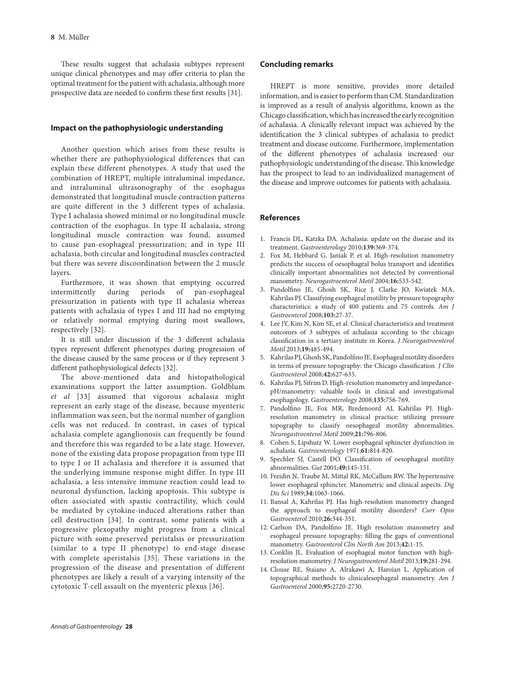These results suggest that achalasia subtypes represent unique clinical phenotypes and may offer criteria to plan the optimal treatment for the patient with achalasia, although more prospective data are needed to confirm these first results [31].

# **Impact on the pathophysiologic understanding**

Another question which arises from these results is whether there are pathophysiological differences that can explain these different phenotypes. A study that used the combination of HREPT, multiple intraluminal impedance, and intraluminal ultrasonography of the esophagus demonstrated that longitudinal muscle contraction patterns are quite different in the 3 different types of achalasia. Type I achalasia showed minimal or no longitudinal muscle contraction of the esophagus. In type II achalasia, strong longitudinal muscle contraction was found, assumed to cause pan-esophageal pressurization; and in type III achalasia, both circular and longitudinal muscles contracted but there was severe discoordination between the 2 muscle layers.

Furthermore, it was shown that emptying occurred intermittently during periods of pan-esophageal pressurization in patients with type II achalasia whereas patients with achalasia of types I and III had no emptying or relatively normal emptying during most swallows, respectively [32].

It is still under discussion if the 3 different achalasia types represent different phenotypes during progression of the disease caused by the same process or if they represent 3 different pathophysiological defects [32].

The above-mentioned data and histopathological examinations support the latter assumption. Goldblum *et al* [33] assumed that vigorous achalasia might represent an early stage of the disease, because myenteric inflammation was seen, but the normal number of ganglion cells was not reduced. In contrast, in cases of typical achalasia complete aganglionosis can frequently be found and therefore this was regarded to be a late stage. However, none of the existing data propose propagation from type III to type I or II achalasia and therefore it is assumed that the underlying immune response might differ. In type III achalasia, a less intensive immune reaction could lead to neuronal dysfunction, lacking apoptosis. This subtype is often associated with spastic contractility, which could be mediated by cytokine-induced alterations rather than cell destruction [34]. In contrast, some patients with a progressive plexopathy might progress from a clinical picture with some preserved peristalsis or pressurization (similar to a type II phenotype) to end-stage disease with complete aperistalsis [35]. These variations in the progression of the disease and presentation of different phenotypes are likely a result of a varying intensity of the cytotoxic T-cell assault on the myenteric plexus [36].

HREPT is more sensitive, provides more detailed information, and is easier to perform than CM. Standardization is improved as a result of analysis algorithms, known as the Chicago classification, which has increased the early recognition of achalasia. A clinically relevant impact was achieved by the identification the 3 clinical subtypes of achalasia to predict treatment and disease outcome. Furthermore, implementation of the different phenotypes of achalasia increased our pathophysiologic understanding of the disease. This knowledge has the prospect to lead to an individualized management of the disease and improve outcomes for patients with achalasia.

# **References**

- 1. Francis DL, Katzka DA. Achalasia: update on the disease and its treatment. *Gastroenterology* 2010;**139:**369-374.
- 2. Fox M, Hebbard G, Janiak P, et al. High-resolution manometry predicts the success of oesophageal bolus transport and identifies clinically important abnormalities not detected by conventional manometry. *Neurogastroenterol Motil* 2004;**16:**533-542.
- 3. Pandolfino JE, Ghosh SK, Rice J, Clarke JO, Kwiatek MA, Kahrilas PJ. Classifying esophageal motility by pressure topography characteristics: a study of 400 patients and 75 controls. *Am J Gastroenterol* 2008;**103:**27-37.
- 4. Lee JY, Kim N, Kim SE, et al. Clinical characteristics and treatment outcomes of 3 subtypes of achalasia according to the chicago classification in a tertiary institute in Korea. *J Neurogastroenterol Motil* 2013;**19:**485-494.
- 5. Kahrilas PJ, Ghosh SK, Pandolfino JE. Esophageal motility disorders in terms of pressure topography: the Chicago classification. *J Clin Gastroenterol* 2008;**42:**627-635.
- 6. Kahrilas PJ, Sifrim D. High-resolution manometry and impedancepH/manometry: valuable tools in clinical and investigational esophagology. *Gastroenterology* 2008;**135:**756-769.
- 7. Pandolfino JE, Fox MR, Bredenoord AJ, Kahrilas PJ. Highresolution manometry in clinical practice: utilizing pressure topography to classify oesophageal motility abnormalities. *Neurogastroenterol Motil* 2009;**21:**796-806.
- 8. Cohen S, Lipshutz W. Lower esophageal sphincter dysfunction in achalasia. *Gastroenterology* 1971;**61:**814-820.
- Spechler SJ, Castell DO. Classification of oesophageal motility abnormalities. *Gut* 2001;**49:**145-151.
- 10. Freidin N, Traube M, Mittal RK, McCallum RW. The hypertensive lower esophageal sphincter. Manometric and clinical aspects. *Dig Dis Sci* 1989;**34:**1063-1066.
- 11. Bansal A, Kahrilas PJ. Has high-resolution manometry changed the approach to esophageal motility disorders? *Curr Opin Gastroenterol* 2010;**26:**344-351.
- 12. Carlson DA, Pandolfino JE. High resolution manometry and esophageal pressure topography: filling the gaps of conventional manometry. *Gastroenterol Clin North Am* 2013;**42:**1-15.
- 13. Conklin JL. Evaluation of esophageal motor function with highresolution manometry. *J Neurogastroenterol Motil* 2013;**19:**281-294.
- 14. Clouse RE, Staiano A, Alrakawi A, Haroian L. Application of topographical methods to clinicalesophageal manometry. *Am J Gastroenterol* 2000;**95:**2720-2730.